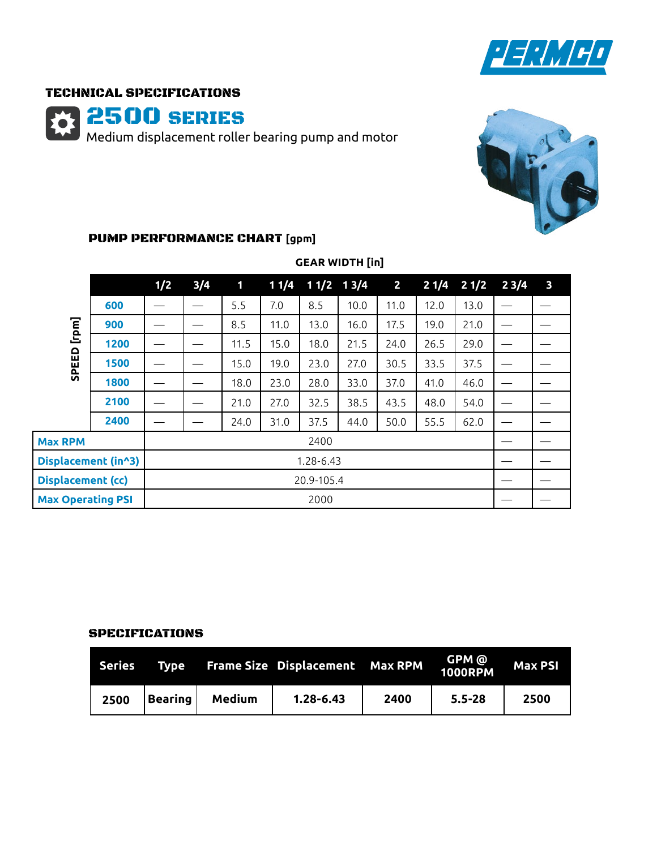

## TECHNICAL SPECIFICATIONS

2500 SERIES

Medium displacement roller bearing pump and motor



# PUMP PERFORMANCE CHART **[gpm]**

|                          |      | 1/2        | 3/4 | 1    | 11/4 | $11/2$ 13/4 |      | $\overline{2}$ | 21/4 |      | $21/2$ $23/4$ | $\overline{\mathbf{3}}$ |
|--------------------------|------|------------|-----|------|------|-------------|------|----------------|------|------|---------------|-------------------------|
|                          | 600  |            |     | 5.5  | 7.0  | 8.5         | 10.0 | 11.0           | 12.0 | 13.0 |               |                         |
| [rpm]                    | 900  |            |     | 8.5  | 11.0 | 13.0        | 16.0 | 17.5           | 19.0 | 21.0 |               |                         |
|                          | 1200 |            |     | 11.5 | 15.0 | 18.0        | 21.5 | 24.0           | 26.5 | 29.0 |               |                         |
| EED                      | 1500 |            |     | 15.0 | 19.0 | 23.0        | 27.0 | 30.5           | 33.5 | 37.5 |               |                         |
| 읎                        | 1800 |            |     | 18.0 | 23.0 | 28.0        | 33.0 | 37.0           | 41.0 | 46.0 | —             |                         |
|                          | 2100 |            |     | 21.0 | 27.0 | 32.5        | 38.5 | 43.5           | 48.0 | 54.0 |               |                         |
|                          | 2400 |            |     | 24.0 | 31.0 | 37.5        | 44.0 | 50.0           | 55.5 | 62.0 |               |                         |
| <b>Max RPM</b>           |      | 2400       |     |      |      |             |      |                |      |      |               |                         |
| Displacement (in^3)      |      | 1.28-6.43  |     |      |      |             |      |                |      |      |               |                         |
| <b>Displacement (cc)</b> |      | 20.9-105.4 |     |      |      |             |      |                |      |      |               |                         |
| <b>Max Operating PSI</b> |      | 2000       |     |      |      |             |      |                |      |      |               |                         |

# **GEAR WIDTH [in]**

#### SPECIFICATIONS

| <b>Series</b> | Type    |        | <b>Frame Size Displacement Max RPM</b> |      | GPM @  <br>  1000RPM | <b>Max PSI</b> |
|---------------|---------|--------|----------------------------------------|------|----------------------|----------------|
| 2500          | Bearing | Medium | $1.28 - 6.43$                          | 2400 | $5.5 - 28$           | 2500           |